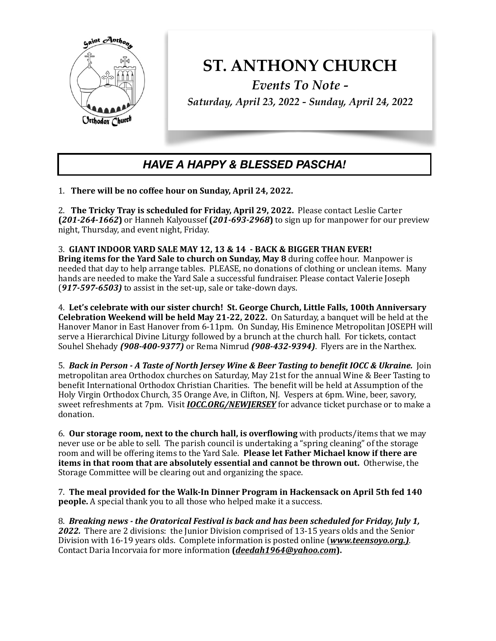

## **ST. ANTHONY CHURCH**

*Events To Note - Saturday, April 23, 2022 - Sunday, April 24, 2022*

## *HAVE A HAPPY & BLESSED PASCHA!*

1. There will be no coffee hour on Sunday, April 24, 2022.

2. The Tricky Tray is scheduled for Friday, April 29, 2022. Please contact Leslie Carter  $(201-264-1662)$  or Hanneh Kalyoussef  $(201-693-2968)$  to sign up for manpower for our preview night, Thursday, and event night, Friday.

3. GIANT INDOOR YARD SALE MAY 12, 13 & 14 - BACK & BIGGER THAN EVER! **Bring items for the Yard Sale to church on Sunday, May 8** during coffee hour. Manpower is needed that day to help arrange tables. PLEASE, no donations of clothing or unclean items. Many hands are needed to make the Yard Sale a successful fundraiser. Please contact Valerie Joseph (917-597-6503) to assist in the set-up, sale or take-down days.

4. Let's celebrate with our sister church! St. George Church, Little Falls, 100th Anniversary **Celebration Weekend will be held May 21-22, 2022.** On Saturday, a banquet will be held at the Hanover Manor in East Hanover from 6-11pm. On Sunday, His Eminence Metropolitan JOSEPH will serve a Hierarchical Divine Liturgy followed by a brunch at the church hall. For tickets, contact Souhel Shehady (908-400-9377) or Rema Nimrud (908-432-9394). Flyers are in the Narthex.

5. *Back* in Person - A Taste of North Jersey Wine & Beer Tasting to benefit IOCC & Ukraine. Join metropolitan area Orthodox churches on Saturday, May 21st for the annual Wine & Beer Tasting to benefit International Orthodox Christian Charities. The benefit will be held at Assumption of the Holy Virgin Orthodox Church, 35 Orange Ave, in Clifton, NJ. Vespers at 6pm. Wine, beer, savory, sweet refreshments at 7pm. Visit *IOCC.ORG/NEWJERSEY* for advance ticket purchase or to make a donation. 

6. **Our storage room, next to the church hall, is overflowing** with products/items that we may never use or be able to sell. The parish council is undertaking a "spring cleaning" of the storage room and will be offering items to the Yard Sale. **Please let Father Michael know if there are items in that room that are absolutely essential and cannot be thrown out.** Otherwise, the Storage Committee will be clearing out and organizing the space.

7. The meal provided for the Walk-In Dinner Program in Hackensack on April 5th fed 140 **people.** A special thank you to all those who helped make it a success.

8. *Breaking news - the Oratorical Festival is back and has been scheduled for Friday, July 1,* **2022.** There are 2 divisions: the Junior Division comprised of 13-15 years olds and the Senior Division with 16-19 years olds. Complete information is posted online (*www.teensoyo.org.*). Contact Daria Incorvaia for more information (*[deedah1964@yahoo.com](mailto:deedah1964@yahoo.com)*).